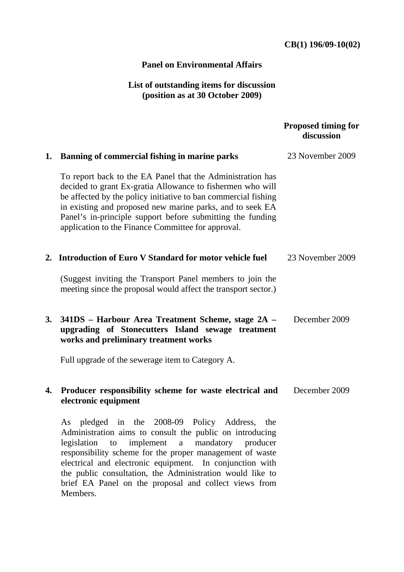## **CB(1) 196/09-10(02)**

## **Panel on Environmental Affairs**

## **List of outstanding items for discussion (position as at 30 October 2009)**

|    |                                                                                                                                                                                                                                                                                                                                                                                                                                                       | <b>Proposed timing for</b><br>discussion |
|----|-------------------------------------------------------------------------------------------------------------------------------------------------------------------------------------------------------------------------------------------------------------------------------------------------------------------------------------------------------------------------------------------------------------------------------------------------------|------------------------------------------|
| 1. | Banning of commercial fishing in marine parks                                                                                                                                                                                                                                                                                                                                                                                                         | 23 November 2009                         |
|    | To report back to the EA Panel that the Administration has<br>decided to grant Ex-gratia Allowance to fishermen who will<br>be affected by the policy initiative to ban commercial fishing<br>in existing and proposed new marine parks, and to seek EA<br>Panel's in-principle support before submitting the funding<br>application to the Finance Committee for approval.                                                                           |                                          |
|    | 2. Introduction of Euro V Standard for motor vehicle fuel                                                                                                                                                                                                                                                                                                                                                                                             | 23 November 2009                         |
|    | (Suggest inviting the Transport Panel members to join the<br>meeting since the proposal would affect the transport sector.)                                                                                                                                                                                                                                                                                                                           |                                          |
| 3. | 341DS – Harbour Area Treatment Scheme, stage 2A –<br>upgrading of Stonecutters Island sewage treatment<br>works and preliminary treatment works                                                                                                                                                                                                                                                                                                       | December 2009                            |
|    | Full upgrade of the sewerage item to Category A.                                                                                                                                                                                                                                                                                                                                                                                                      |                                          |
| 4. | Producer responsibility scheme for waste electrical and<br>electronic equipment                                                                                                                                                                                                                                                                                                                                                                       | December 2009                            |
|    | pledged<br>2008-09<br>Policy<br>Address,<br>the<br>the<br>As<br>in<br>Administration aims to consult the public on introducing<br>mandatory<br>legislation<br>to<br>implement a<br>producer<br>responsibility scheme for the proper management of waste<br>electrical and electronic equipment. In conjunction with<br>the public consultation, the Administration would like to<br>brief EA Panel on the proposal and collect views from<br>Members. |                                          |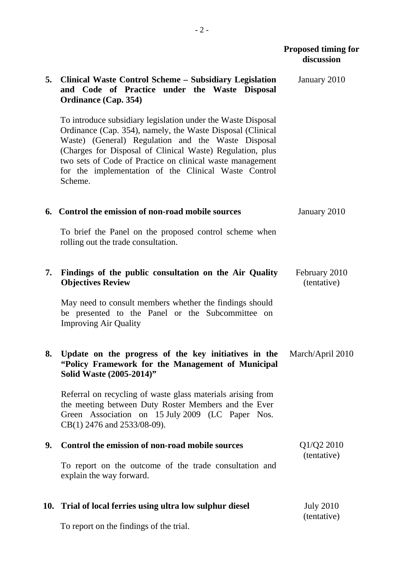|    |                                                                                                                                                                                                                                                                                                                                                                               | discussion                      |
|----|-------------------------------------------------------------------------------------------------------------------------------------------------------------------------------------------------------------------------------------------------------------------------------------------------------------------------------------------------------------------------------|---------------------------------|
| 5. | <b>Clinical Waste Control Scheme – Subsidiary Legislation</b><br>and Code of Practice under the Waste Disposal<br><b>Ordinance (Cap. 354)</b>                                                                                                                                                                                                                                 | January 2010                    |
|    | To introduce subsidiary legislation under the Waste Disposal<br>Ordinance (Cap. 354), namely, the Waste Disposal (Clinical<br>Waste) (General) Regulation and the Waste Disposal<br>(Charges for Disposal of Clinical Waste) Regulation, plus<br>two sets of Code of Practice on clinical waste management<br>for the implementation of the Clinical Waste Control<br>Scheme. |                                 |
|    | 6. Control the emission of non-road mobile sources                                                                                                                                                                                                                                                                                                                            | January 2010                    |
|    | To brief the Panel on the proposed control scheme when<br>rolling out the trade consultation.                                                                                                                                                                                                                                                                                 |                                 |
| 7. | Findings of the public consultation on the Air Quality<br><b>Objectives Review</b>                                                                                                                                                                                                                                                                                            | February 2010<br>(tentative)    |
|    | May need to consult members whether the findings should<br>be presented to the Panel or the Subcommittee on<br><b>Improving Air Quality</b>                                                                                                                                                                                                                                   |                                 |
| 8. | Update on the progress of the key initiatives in the<br>"Policy Framework for the Management of Municipal<br>Solid Waste (2005-2014)"                                                                                                                                                                                                                                         | March/April 2010                |
|    | Referral on recycling of waste glass materials arising from<br>the meeting between Duty Roster Members and the Ever<br>Green Association on 15 July 2009 (LC Paper Nos.<br>CB(1) 2476 and 2533/08-09).                                                                                                                                                                        |                                 |
| 9. | Control the emission of non-road mobile sources                                                                                                                                                                                                                                                                                                                               | Q1/Q2 2010                      |
|    | To report on the outcome of the trade consultation and<br>explain the way forward.                                                                                                                                                                                                                                                                                            | (tentative)                     |
|    | 10. Trial of local ferries using ultra low sulphur diesel                                                                                                                                                                                                                                                                                                                     | <b>July 2010</b><br>(tentative) |

To report on the findings of the trial.

 **Proposed timing for**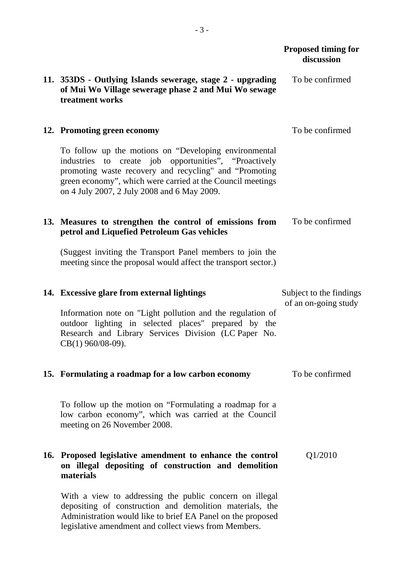|  |                                                                                                                                                                                                                                                                                       | <b>Proposed timing for</b><br>discussion |
|--|---------------------------------------------------------------------------------------------------------------------------------------------------------------------------------------------------------------------------------------------------------------------------------------|------------------------------------------|
|  | 11. 353DS - Outlying Islands sewerage, stage 2 - upgrading<br>of Mui Wo Village sewerage phase 2 and Mui Wo sewage<br>treatment works                                                                                                                                                 | To be confirmed                          |
|  | 12. Promoting green economy                                                                                                                                                                                                                                                           | To be confirmed                          |
|  | To follow up the motions on "Developing environmental<br>industries to create job opportunities", "Proactively<br>promoting waste recovery and recycling" and "Promoting<br>green economy", which were carried at the Council meetings<br>on 4 July 2007, 2 July 2008 and 6 May 2009. |                                          |
|  | 13. Measures to strengthen the control of emissions from<br>petrol and Liquefied Petroleum Gas vehicles                                                                                                                                                                               | To be confirmed                          |
|  | (Suggest inviting the Transport Panel members to join the<br>meeting since the proposal would affect the transport sector.)                                                                                                                                                           |                                          |
|  | 14. Excessive glare from external lightings                                                                                                                                                                                                                                           | Subject to the findings                  |
|  | Information note on "Light pollution and the regulation of<br>outdoor lighting in selected places" prepared by the<br>Research and Library Services Division (LC Paper No.<br>CB(1) 960/08-09).                                                                                       | of an on-going study                     |
|  | 15. Formulating a roadmap for a low carbon economy                                                                                                                                                                                                                                    | To be confirmed                          |
|  | To follow up the motion on "Formulating a roadmap for a<br>low carbon economy", which was carried at the Council<br>meeting on 26 November 2008.                                                                                                                                      |                                          |
|  | 16. Proposed legislative amendment to enhance the control<br>on illegal depositing of construction and demolition<br>materials                                                                                                                                                        | Q1/2010                                  |
|  | With a view to addressing the public concern on illegal<br>depositing of construction and demolition materials, the                                                                                                                                                                   |                                          |

Administration would like to brief EA Panel on the proposed legislative amendment and collect views from Members.